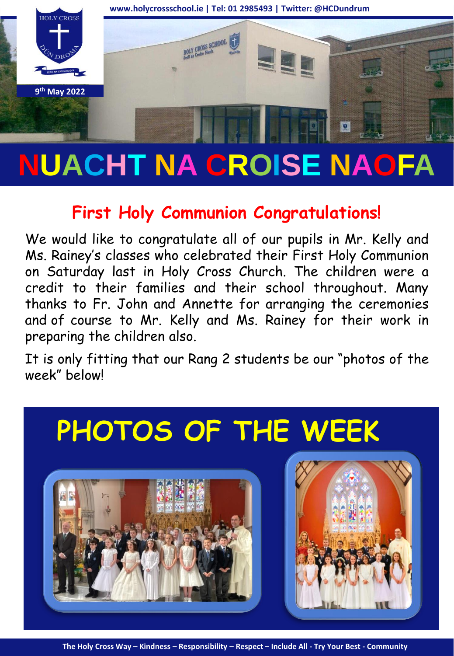

# **NUACHT NA CROISE NAOFA**

## **First Holy Communion Congratulations!**

We would like to congratulate all of our pupils in Mr. Kelly and Ms. Rainey's classes who celebrated their First Holy Communion on Saturday last in Holy Cross Church. The children were a credit to their families and their school throughout. Many thanks to Fr. John and Annette for arranging the ceremonies and of course to Mr. Kelly and Ms. Rainey for their work in preparing the children also.

It is only fitting that our Rang 2 students be our "photos of the week" below!

## **PHOTOS OF THE WEEK**





**The Holy Cross Way – Kindness – Responsibility – Respect – Include All - Try Your Best - Community**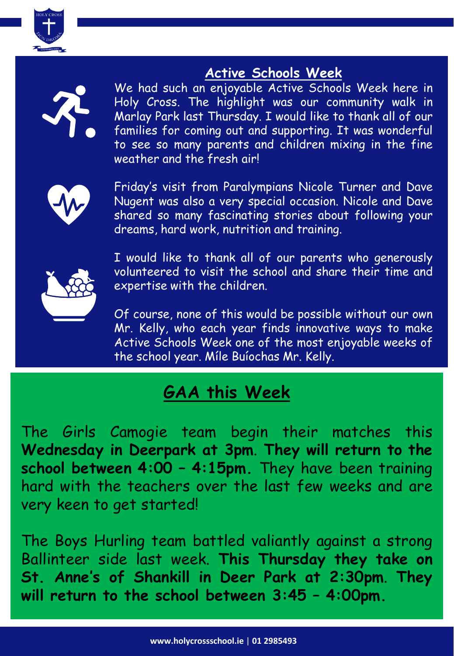

### **Active Schools Week**



We had such an enjoyable Active Schools Week here in Holy Cross. The highlight was our community walk in Marlay Park last Thursday. I would like to thank all of our families for coming out and supporting. It was wonderful to see so many parents and children mixing in the fine weather and the fresh air!



Friday's visit from Paralympians Nicole Turner and Dave Nugent was also a very special occasion. Nicole and Dave shared so many fascinating stories about following your dreams, hard work, nutrition and training.



I would like to thank all of our parents who generously volunteered to visit the school and share their time and expertise with the children.

Of course, none of this would be possible without our own Mr. Kelly, who each year finds innovative ways to make Active Schools Week one of the most enjoyable weeks of the school year. Míle Buíochas Mr. Kelly.

## **GAA this Week**

The Girls Camogie team begin their matches this **Wednesday in Deerpark at 3pm**. **They will return to the school between 4:00 – 4:15pm.** They have been training hard with the teachers over the last few weeks and are very keen to get started!

The Boys Hurling team battled valiantly against a strong Ballinteer side last week. **This Thursday they take on St. Anne's of Shankill in Deer Park at 2:30pm**. **They will return to the school between 3:45 – 4:00pm.**